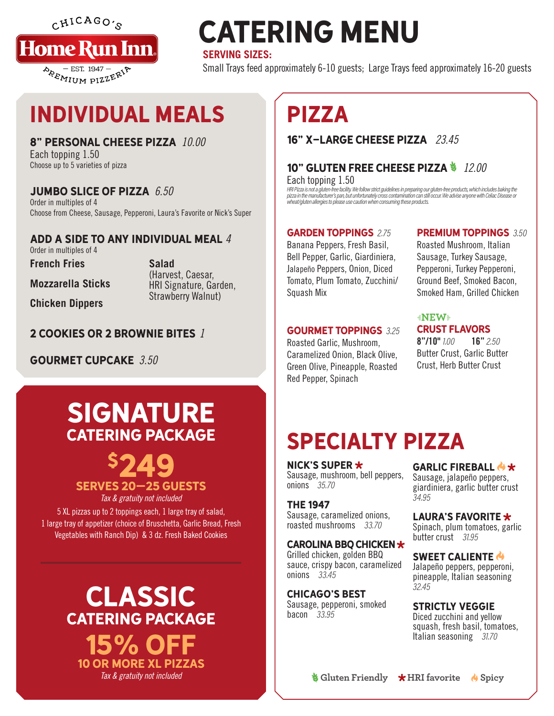$CHICAGO$ 



# **CATERING MENU**

### **SERVING SIZES:**

Small Trays feed approximately 6-10 guests; Large Trays feed approximately 16-20 guests

# INDIVIDUAL MEALS

### 8" PERSONAL CHEESE PIZZA *10.00*

Each topping 1.50 Choose up to 5 varieties of pizza

### JUMBO SLICE OF PIZZA *6.50*

Order in multiples of 4 Choose from Cheese, Sausage, Pepperoni, Laura's Favorite or Nick's Super

#### ADD A SIDE TO ANY INDIVIDUAL MEAL *4* Order in multiples of 4

**French Fries**

**Salad** (Harvest, Caesar, HRI Signature, Garden, Strawberry Walnut)

**Chicken Dippers**

**Mozzarella Sticks**

2 COOKIES OR 2 BROWNIE BITES *1*

GOURMET CUPCAKE *3.50*

## **SIGNATURE** CATERING PACKAGE

\$249 SERVES 20–25 GUESTS

*Tax & gratuity not included*

5 XL pizzas up to 2 toppings each, 1 large tray of salad, 1 large tray of appetizer (choice of Bruschetta, Garlic Bread, Fresh Vegetables with Ranch Dip) & 3 dz. Fresh Baked Cookies

> CLASSIC CATERING PACKAGE **15% OF** 10 OR MORE XL PIZZAS

# PIZZA

### 16" X-LARGE CHEESE PIZZA *23.45*

10" GLUTEN FREE CHEESE PIZZA *12.00* Each topping 1.50

HRI Pizza is not a gluten-free facility. We follow strict guidelines in preparing our gluten-free products, which includes baking the<br>pizza in the manufacturer's pan, but unfortunately cross contamination can still occur. wheat/gluten allergies to please use caution when consuming these products.

### GARDEN TOPPINGS 2.75

Banana Peppers, Fresh Basil, Bell Pepper, Garlic, Giardiniera, Jalapeño Peppers, Onion, Diced Tomato, Plum Tomato, Zucchini/ Squash Mix

### GOURMET TOPPINGS 3.25

Roasted Garlic, Mushroom, Caramelized Onion, Black Olive, Green Olive, Pineapple, Roasted Red Pepper, Spinach

### **PREMIUM TOPPINGS 3.50**

Roasted Mushroom, Italian Sausage, Turkey Sausage, Pepperoni, Turkey Pepperoni, Ground Beef, Smoked Bacon, Smoked Ham, Grilled Chicken

#### $t \in \mathbb{N}$ CRUST FLAVORS

 $8"/10"$  1.00 16" 2.50 Butter Crust, Garlic Butter Crust, Herb Butter Crust

# SPECIALTY PIZZA

NICK'S SUPER \* Sausage, mushroom, bell peppers, onions 35.70

#### THE 1947 Sausage, caramelized onions, roasted mushrooms 33.70

### CAROLINA BBQ CHICKEN

Grilled chicken, golden BBQ sauce, crispy bacon, caramelized onions 33.45

CHICAGO'S BEST Sausage, pepperoni, smoked bacon 33.95

### GARLIC FIREBALL & \*

Sausage, jalapeño peppers, giardiniera, garlic butter crust 34.95

### LAURA'S FAVORITE \*

Spinach, plum tomatoes, garlic butter crust 31.95

### SWEET CALIENTE &

Jalapeño peppers, pepperoni, pineapple, Italian seasoning 32.45

### STRICTLY VEGGIE

Diced zucchini and yellow squash, fresh basil, tomatoes, Italian seasoning 31.70

**Tax & gratuity not included Gluten Friendly HRI favorite A** Spicy